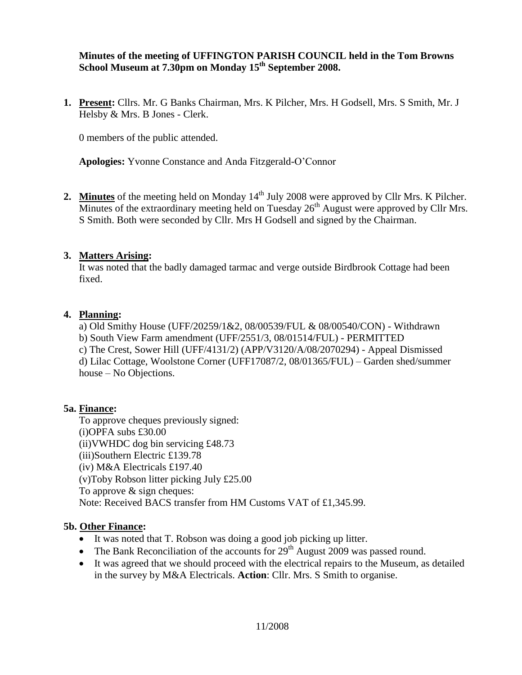**Minutes of the meeting of UFFINGTON PARISH COUNCIL held in the Tom Browns School Museum at 7.30pm on Monday 15 th September 2008.**

**1. Present:** Cllrs. Mr. G Banks Chairman, Mrs. K Pilcher, Mrs. H Godsell, Mrs. S Smith, Mr. J Helsby & Mrs. B Jones - Clerk.

0 members of the public attended.

**Apologies:** Yvonne Constance and Anda Fitzgerald-O'Connor

2. Minutes of the meeting held on Monday 14<sup>th</sup> July 2008 were approved by Cllr Mrs. K Pilcher. Minutes of the extraordinary meeting held on Tuesday  $26<sup>th</sup>$  August were approved by Cllr Mrs. S Smith. Both were seconded by Cllr. Mrs H Godsell and signed by the Chairman.

### **3. Matters Arising:**

It was noted that the badly damaged tarmac and verge outside Birdbrook Cottage had been fixed.

### **4. Planning:**

a) Old Smithy House (UFF/20259/1&2, 08/00539/FUL & 08/00540/CON) - Withdrawn b) South View Farm amendment (UFF/2551/3, 08/01514/FUL) - PERMITTED c) The Crest, Sower Hill (UFF/4131/2) (APP/V3120/A/08/2070294) - Appeal Dismissed d) Lilac Cottage, Woolstone Corner (UFF17087/2, 08/01365/FUL) – Garden shed/summer house – No Objections.

# **5a. Finance:**

To approve cheques previously signed: (i)OPFA subs £30.00 (ii)VWHDC dog bin servicing £48.73 (iii)Southern Electric £139.78 (iv) M&A Electricals £197.40 (v)Toby Robson litter picking July £25.00 To approve & sign cheques: Note: Received BACS transfer from HM Customs VAT of £1,345.99.

# **5b. Other Finance:**

- It was noted that T. Robson was doing a good job picking up litter.
- The Bank Reconciliation of the accounts for  $29<sup>th</sup>$  August 2009 was passed round.
- It was agreed that we should proceed with the electrical repairs to the Museum, as detailed in the survey by M&A Electricals. **Action**: Cllr. Mrs. S Smith to organise.